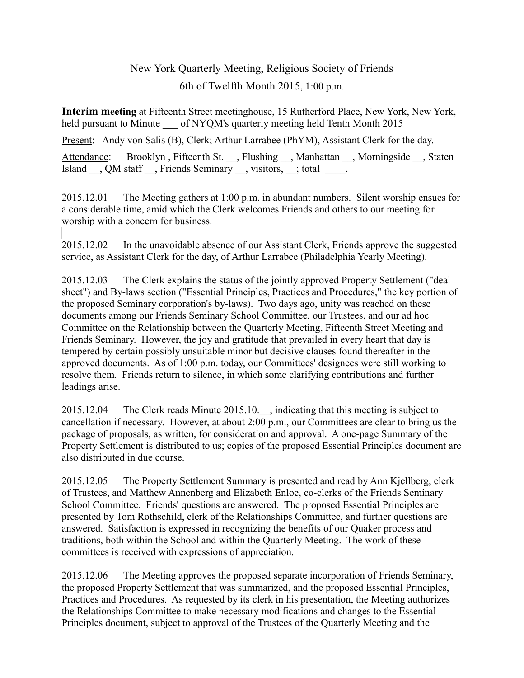## New York Quarterly Meeting, Religious Society of Friends 6th of Twelfth Month 2015, 1:00 p.m.

**Interim meeting** at Fifteenth Street meetinghouse, 15 Rutherford Place, New York, New York, held pursuant to Minute of NYQM's quarterly meeting held Tenth Month 2015

Present: Andy von Salis (B), Clerk; Arthur Larrabee (PhYM), Assistant Clerk for the day.

Attendance: Brooklyn, Fifteenth St. \_\_, Flushing \_\_, Manhattan \_\_, Morningside \_\_, Staten Island  $\Box$ , QM staff  $\Box$ , Friends Seminary  $\Box$ , visitors,  $\Box$ ; total  $\Box$ .

2015.12.01 The Meeting gathers at 1:00 p.m. in abundant numbers. Silent worship ensues for a considerable time, amid which the Clerk welcomes Friends and others to our meeting for worship with a concern for business.

2015.12.02 In the unavoidable absence of our Assistant Clerk, Friends approve the suggested service, as Assistant Clerk for the day, of Arthur Larrabee (Philadelphia Yearly Meeting).

2015.12.03 The Clerk explains the status of the jointly approved Property Settlement ("deal sheet") and By-laws section ("Essential Principles, Practices and Procedures," the key portion of the proposed Seminary corporation's by-laws). Two days ago, unity was reached on these documents among our Friends Seminary School Committee, our Trustees, and our ad hoc Committee on the Relationship between the Quarterly Meeting, Fifteenth Street Meeting and Friends Seminary. However, the joy and gratitude that prevailed in every heart that day is tempered by certain possibly unsuitable minor but decisive clauses found thereafter in the approved documents. As of 1:00 p.m. today, our Committees' designees were still working to resolve them. Friends return to silence, in which some clarifying contributions and further leadings arise.

2015.12.04 The Clerk reads Minute 2015.10. , indicating that this meeting is subject to cancellation if necessary. However, at about 2:00 p.m., our Committees are clear to bring us the package of proposals, as written, for consideration and approval. A one-page Summary of the Property Settlement is distributed to us; copies of the proposed Essential Principles document are also distributed in due course.

2015.12.05 The Property Settlement Summary is presented and read by Ann Kjellberg, clerk of Trustees, and Matthew Annenberg and Elizabeth Enloe, co-clerks of the Friends Seminary School Committee. Friends' questions are answered. The proposed Essential Principles are presented by Tom Rothschild, clerk of the Relationships Committee, and further questions are answered. Satisfaction is expressed in recognizing the benefits of our Quaker process and traditions, both within the School and within the Quarterly Meeting. The work of these committees is received with expressions of appreciation.

2015.12.06 The Meeting approves the proposed separate incorporation of Friends Seminary, the proposed Property Settlement that was summarized, and the proposed Essential Principles, Practices and Procedures. As requested by its clerk in his presentation, the Meeting authorizes the Relationships Committee to make necessary modifications and changes to the Essential Principles document, subject to approval of the Trustees of the Quarterly Meeting and the